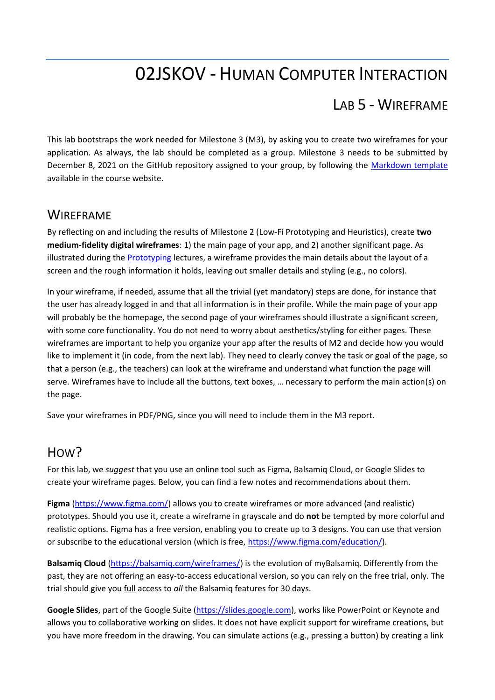## 02JSKOV - HUMAN COMPUTER INTERACTION

## LAB 5 - WIREFRAME

This lab bootstraps the work needed for Milestone 3 (M3), by asking you to create two wireframes for your application. As always, the lab should be completed as a group. Milestone 3 needs to be submitted by December 8, 2021 on the GitHub repository assigned to your group, by following the [Markdown template](https://elite.polito.it/files/courses/02JSKOV/2021/milestones/milestone3.md) available in the course website.

## **WIRFFRAME**

By reflecting on and including the results of Milestone 2 (Low-Fi Prototyping and Heuristics), create **two medium-fidelity digital wireframes**: 1) the main page of your app, and 2) another significant page. As illustrated during the [Prototyping](https://elite.polito.it/files/courses/02JSKOV/2021/slide/05-prototyping.pdf) lectures, a wireframe provides the main details about the layout of a screen and the rough information it holds, leaving out smaller details and styling (e.g., no colors).

In your wireframe, if needed, assume that all the trivial (yet mandatory) steps are done, for instance that the user has already logged in and that all information is in their profile. While the main page of your app will probably be the homepage, the second page of your wireframes should illustrate a significant screen, with some core functionality. You do not need to worry about aesthetics/styling for either pages. These wireframes are important to help you organize your app after the results of M2 and decide how you would like to implement it (in code, from the next lab). They need to clearly convey the task or goal of the page, so that a person (e.g., the teachers) can look at the wireframe and understand what function the page will serve. Wireframes have to include all the buttons, text boxes, … necessary to perform the main action(s) on the page.

Save your wireframes in PDF/PNG, since you will need to include them in the M3 report.

## H<sub>OW</sub>?

For this lab, we *suggest* that you use an online tool such as Figma, Balsamiq Cloud, or Google Slides to create your wireframe pages. Below, you can find a few notes and recommendations about them.

**Figma** [\(https://www.figma.com/\)](https://www.figma.com/) allows you to create wireframes or more advanced (and realistic) prototypes. Should you use it, create a wireframe in grayscale and do **not** be tempted by more colorful and realistic options. Figma has a free version, enabling you to create up to 3 designs. You can use that version or subscribe to the educational version (which is free, [https://www.figma.com/education/\)](https://www.figma.com/education/).

**Balsamiq Cloud** [\(https://balsamiq.com/wireframes/\)](https://balsamiq.com/wireframes/) is the evolution of myBalsamiq. Differently from the past, they are not offering an easy-to-access educational version, so you can rely on the free trial, only. The trial should give you full access to *all* the Balsamiq features for 30 days.

**Google Slides**, part of the Google Suite [\(https://slides.google.com\)](https://slides.google.com/), works like PowerPoint or Keynote and allows you to collaborative working on slides. It does not have explicit support for wireframe creations, but you have more freedom in the drawing. You can simulate actions (e.g., pressing a button) by creating a link